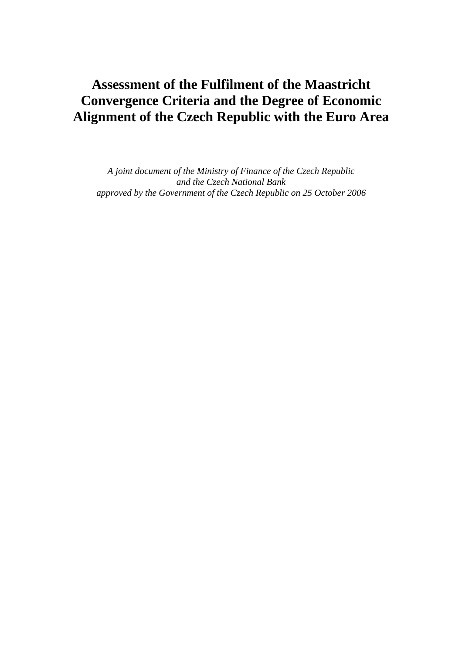# **Assessment of the Fulfilment of the Maastricht Convergence Criteria and the Degree of Economic Alignment of the Czech Republic with the Euro Area**

*A joint document of the Ministry of Finance of the Czech Republic and the Czech National Bank approved by the Government of the Czech Republic on 25 October 2006*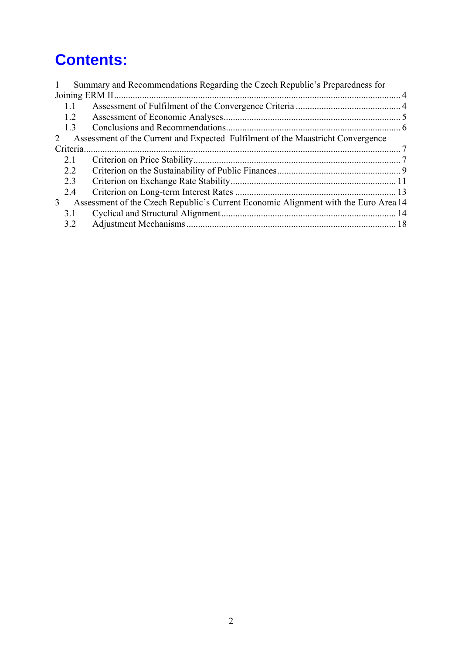# **Contents:**

|          | Summary and Recommendations Regarding the Czech Republic's Preparedness for         |  |
|----------|-------------------------------------------------------------------------------------|--|
|          |                                                                                     |  |
|          |                                                                                     |  |
| 1.2      |                                                                                     |  |
| 1.3      |                                                                                     |  |
| 2        | Assessment of the Current and Expected Fulfilment of the Maastricht Convergence     |  |
| Criteria |                                                                                     |  |
| 2.1      |                                                                                     |  |
| 2.2      |                                                                                     |  |
| 2.3      |                                                                                     |  |
| 2.4      |                                                                                     |  |
| 3        | Assessment of the Czech Republic's Current Economic Alignment with the Euro Area 14 |  |
| 3.1      |                                                                                     |  |
| 32       |                                                                                     |  |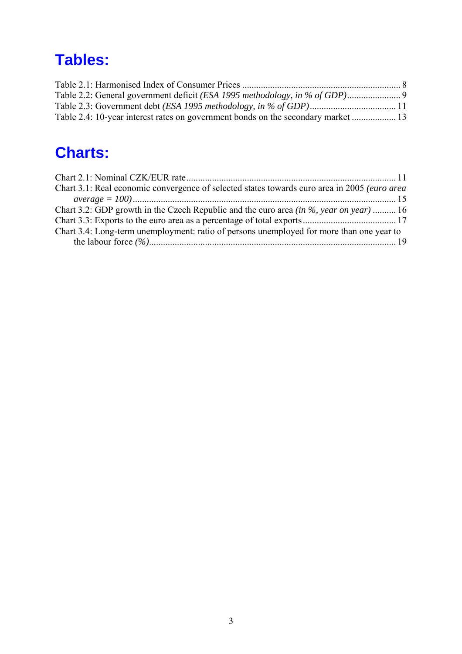# **Tables:**

| Table 2.4: 10-year interest rates on government bonds on the secondary market  13 |  |
|-----------------------------------------------------------------------------------|--|

# **Charts:**

| Chart 3.1: Real economic convergence of selected states towards euro area in 2005 (euro area |  |
|----------------------------------------------------------------------------------------------|--|
|                                                                                              |  |
| Chart 3.2: GDP growth in the Czech Republic and the euro area <i>(in %, year on year)</i> 16 |  |
|                                                                                              |  |
| Chart 3.4: Long-term unemployment: ratio of persons unemployed for more than one year to     |  |
|                                                                                              |  |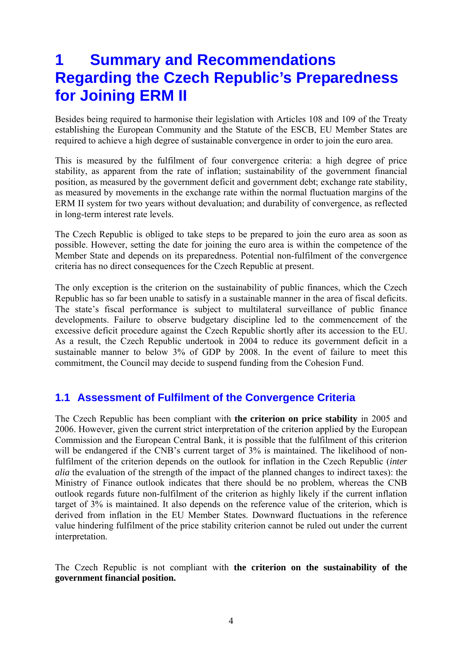# <span id="page-3-0"></span>**1 Summary and Recommendations Regarding the Czech Republic's Preparedness for Joining ERM II**

Besides being required to harmonise their legislation with Articles 108 and 109 of the Treaty establishing the European Community and the Statute of the ESCB, EU Member States are required to achieve a high degree of sustainable convergence in order to join the euro area.

This is measured by the fulfilment of four convergence criteria: a high degree of price stability, as apparent from the rate of inflation; sustainability of the government financial position, as measured by the government deficit and government debt; exchange rate stability, as measured by movements in the exchange rate within the normal fluctuation margins of the ERM II system for two years without devaluation; and durability of convergence, as reflected in long-term interest rate levels.

The Czech Republic is obliged to take steps to be prepared to join the euro area as soon as possible. However, setting the date for joining the euro area is within the competence of the Member State and depends on its preparedness. Potential non-fulfilment of the convergence criteria has no direct consequences for the Czech Republic at present.

The only exception is the criterion on the sustainability of public finances, which the Czech Republic has so far been unable to satisfy in a sustainable manner in the area of fiscal deficits. The state's fiscal performance is subject to multilateral surveillance of public finance developments. Failure to observe budgetary discipline led to the commencement of the excessive deficit procedure against the Czech Republic shortly after its accession to the EU. As a result, the Czech Republic undertook in 2004 to reduce its government deficit in a sustainable manner to below 3% of GDP by 2008. In the event of failure to meet this commitment, the Council may decide to suspend funding from the Cohesion Fund.

## **1.1 Assessment of Fulfilment of the Convergence Criteria**

The Czech Republic has been compliant with **the criterion on price stability** in 2005 and 2006. However, given the current strict interpretation of the criterion applied by the European Commission and the European Central Bank, it is possible that the fulfilment of this criterion will be endangered if the CNB's current target of 3% is maintained. The likelihood of nonfulfilment of the criterion depends on the outlook for inflation in the Czech Republic (*inter alia* the evaluation of the strength of the impact of the planned changes to indirect taxes): the Ministry of Finance outlook indicates that there should be no problem, whereas the CNB outlook regards future non-fulfilment of the criterion as highly likely if the current inflation target of 3% is maintained. It also depends on the reference value of the criterion, which is derived from inflation in the EU Member States. Downward fluctuations in the reference value hindering fulfilment of the price stability criterion cannot be ruled out under the current interpretation.

The Czech Republic is not compliant with **the criterion on the sustainability of the government financial position.**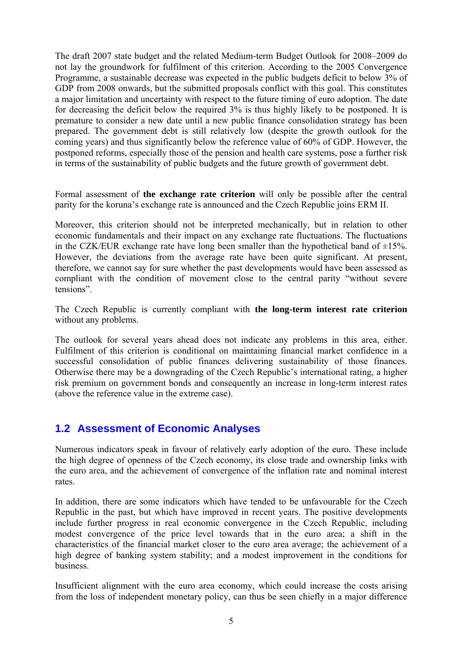<span id="page-4-0"></span>The draft 2007 state budget and the related Medium-term Budget Outlook for 2008–2009 do not lay the groundwork for fulfilment of this criterion. According to the 2005 Convergence Programme, a sustainable decrease was expected in the public budgets deficit to below 3% of GDP from 2008 onwards, but the submitted proposals conflict with this goal. This constitutes a major limitation and uncertainty with respect to the future timing of euro adoption. The date for decreasing the deficit below the required 3% is thus highly likely to be postponed. It is premature to consider a new date until a new public finance consolidation strategy has been prepared. The government debt is still relatively low (despite the growth outlook for the coming years) and thus significantly below the reference value of 60% of GDP. However, the postponed reforms, especially those of the pension and health care systems, pose a further risk in terms of the sustainability of public budgets and the future growth of government debt.

Formal assessment of **the exchange rate criterion** will only be possible after the central parity for the koruna's exchange rate is announced and the Czech Republic joins ERM II.

Moreover, this criterion should not be interpreted mechanically, but in relation to other economic fundamentals and their impact on any exchange rate fluctuations. The fluctuations in the CZK/EUR exchange rate have long been smaller than the hypothetical band of  $\pm 15\%$ . However, the deviations from the average rate have been quite significant. At present, therefore, we cannot say for sure whether the past developments would have been assessed as compliant with the condition of movement close to the central parity "without severe tensions".

The Czech Republic is currently compliant with **the long-term interest rate criterion** without any problems.

The outlook for several years ahead does not indicate any problems in this area, either. Fulfilment of this criterion is conditional on maintaining financial market confidence in a successful consolidation of public finances delivering sustainability of those finances. Otherwise there may be a downgrading of the Czech Republic's international rating, a higher risk premium on government bonds and consequently an increase in long-term interest rates (above the reference value in the extreme case).

## **1.2 Assessment of Economic Analyses**

Numerous indicators speak in favour of relatively early adoption of the euro. These include the high degree of openness of the Czech economy, its close trade and ownership links with the euro area, and the achievement of convergence of the inflation rate and nominal interest rates.

In addition, there are some indicators which have tended to be unfavourable for the Czech Republic in the past, but which have improved in recent years. The positive developments include further progress in real economic convergence in the Czech Republic, including modest convergence of the price level towards that in the euro area; a shift in the characteristics of the financial market closer to the euro area average; the achievement of a high degree of banking system stability; and a modest improvement in the conditions for business.

Insufficient alignment with the euro area economy, which could increase the costs arising from the loss of independent monetary policy, can thus be seen chiefly in a major difference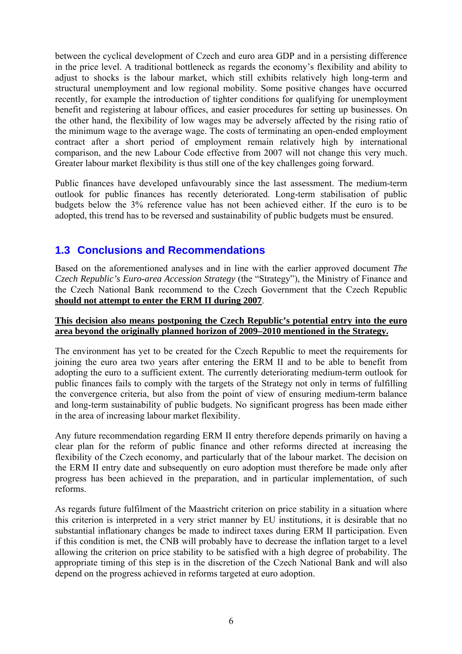<span id="page-5-0"></span>between the cyclical development of Czech and euro area GDP and in a persisting difference in the price level. A traditional bottleneck as regards the economy's flexibility and ability to adjust to shocks is the labour market, which still exhibits relatively high long-term and structural unemployment and low regional mobility. Some positive changes have occurred recently, for example the introduction of tighter conditions for qualifying for unemployment benefit and registering at labour offices, and easier procedures for setting up businesses. On the other hand, the flexibility of low wages may be adversely affected by the rising ratio of the minimum wage to the average wage. The costs of terminating an open-ended employment contract after a short period of employment remain relatively high by international comparison, and the new Labour Code effective from 2007 will not change this very much. Greater labour market flexibility is thus still one of the key challenges going forward.

Public finances have developed unfavourably since the last assessment. The medium-term outlook for public finances has recently deteriorated. Long-term stabilisation of public budgets below the 3% reference value has not been achieved either. If the euro is to be adopted, this trend has to be reversed and sustainability of public budgets must be ensured.

## **1.3 Conclusions and Recommendations**

Based on the aforementioned analyses and in line with the earlier approved document *The Czech Republic's Euro-area Accession Strategy* (the "Strategy"), the Ministry of Finance and the Czech National Bank recommend to the Czech Government that the Czech Republic **should not attempt to enter the ERM II during 2007**.

## **This decision also means postponing the Czech Republic's potential entry into the euro area beyond the originally planned horizon of 2009–2010 mentioned in the Strategy.**

The environment has yet to be created for the Czech Republic to meet the requirements for joining the euro area two years after entering the ERM II and to be able to benefit from adopting the euro to a sufficient extent. The currently deteriorating medium-term outlook for public finances fails to comply with the targets of the Strategy not only in terms of fulfilling the convergence criteria, but also from the point of view of ensuring medium-term balance and long-term sustainability of public budgets. No significant progress has been made either in the area of increasing labour market flexibility.

Any future recommendation regarding ERM II entry therefore depends primarily on having a clear plan for the reform of public finance and other reforms directed at increasing the flexibility of the Czech economy, and particularly that of the labour market. The decision on the ERM II entry date and subsequently on euro adoption must therefore be made only after progress has been achieved in the preparation, and in particular implementation, of such reforms.

As regards future fulfilment of the Maastricht criterion on price stability in a situation where this criterion is interpreted in a very strict manner by EU institutions, it is desirable that no substantial inflationary changes be made to indirect taxes during ERM II participation. Even if this condition is met, the CNB will probably have to decrease the inflation target to a level allowing the criterion on price stability to be satisfied with a high degree of probability. The appropriate timing of this step is in the discretion of the Czech National Bank and will also depend on the progress achieved in reforms targeted at euro adoption.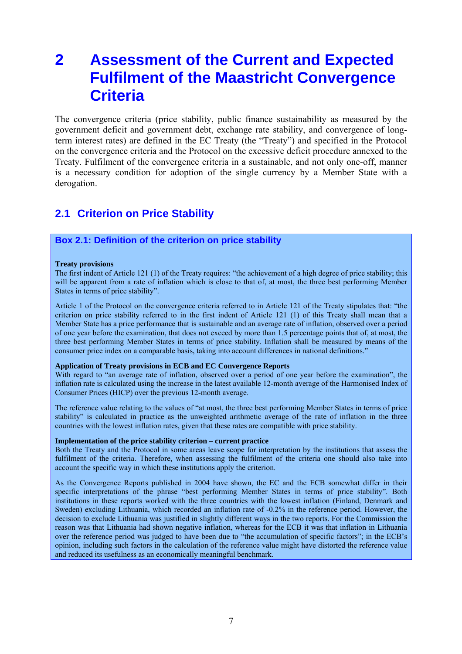# <span id="page-6-0"></span>**2 Assessment of the Current and Expected Fulfilment of the Maastricht Convergence Criteria**

The convergence criteria (price stability, public finance sustainability as measured by the government deficit and government debt, exchange rate stability, and convergence of longterm interest rates) are defined in the EC Treaty (the "Treaty") and specified in the Protocol on the convergence criteria and the Protocol on the excessive deficit procedure annexed to the Treaty. Fulfilment of the convergence criteria in a sustainable, and not only one-off, manner is a necessary condition for adoption of the single currency by a Member State with a derogation.

## **2.1 Criterion on Price Stability**

## **Box 2.1: Definition of the criterion on price stability**

### **Treaty provisions**

The first indent of Article 121 (1) of the Treaty requires: "the achievement of a high degree of price stability; this will be apparent from a rate of inflation which is close to that of, at most, the three best performing Member States in terms of price stability".

Article 1 of the Protocol on the convergence criteria referred to in Article 121 of the Treaty stipulates that: "the criterion on price stability referred to in the first indent of Article 121 (1) of this Treaty shall mean that a Member State has a price performance that is sustainable and an average rate of inflation, observed over a period of one year before the examination, that does not exceed by more than 1.5 percentage points that of, at most, the three best performing Member States in terms of price stability. Inflation shall be measured by means of the consumer price index on a comparable basis, taking into account differences in national definitions."

#### **Application of Treaty provisions in ECB and EC Convergence Reports**

With regard to "an average rate of inflation, observed over a period of one year before the examination", the inflation rate is calculated using the increase in the latest available 12-month average of the Harmonised Index of Consumer Prices (HICP) over the previous 12-month average.

The reference value relating to the values of "at most, the three best performing Member States in terms of price stability" is calculated in practice as the unweighted arithmetic average of the rate of inflation in the three countries with the lowest inflation rates, given that these rates are compatible with price stability.

### **Implementation of the price stability criterion – current practice**

Both the Treaty and the Protocol in some areas leave scope for interpretation by the institutions that assess the fulfilment of the criteria. Therefore, when assessing the fulfilment of the criteria one should also take into account the specific way in which these institutions apply the criterion.

As the Convergence Reports published in 2004 have shown, the EC and the ECB somewhat differ in their specific interpretations of the phrase "best performing Member States in terms of price stability". Both institutions in these reports worked with the three countries with the lowest inflation (Finland, Denmark and Sweden) excluding Lithuania, which recorded an inflation rate of -0.2% in the reference period. However, the decision to exclude Lithuania was justified in slightly different ways in the two reports. For the Commission the reason was that Lithuania had shown negative inflation, whereas for the ECB it was that inflation in Lithuania over the reference period was judged to have been due to "the accumulation of specific factors"; in the ECB's opinion, including such factors in the calculation of the reference value might have distorted the reference value and reduced its usefulness as an economically meaningful benchmark.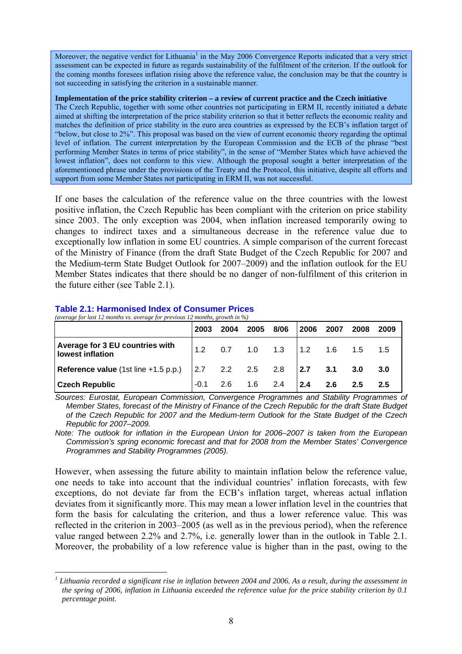<span id="page-7-0"></span>Moreover, the negative verdict for Lithuania<sup>[1](#page-7-1)</sup> in the May 2006 Convergence Reports indicated that a very strict assessment can be expected in future as regards sustainability of the fulfilment of the criterion. If the outlook for the coming months foresees inflation rising above the reference value, the conclusion may be that the country is not succeeding in satisfying the criterion in a sustainable manner.

### **Implementation of the price stability criterion – a review of current practice and the Czech initiative**

The Czech Republic, together with some other countries not participating in ERM II, recently initiated a debate aimed at shifting the interpretation of the price stability criterion so that it better reflects the economic reality and matches the definition of price stability in the euro area countries as expressed by the ECB's inflation target of "below, but close to 2%". This proposal was based on the view of current economic theory regarding the optimal level of inflation. The current interpretation by the European Commission and the ECB of the phrase "best performing Member States in terms of price stability", in the sense of "Member States which have achieved the lowest inflation", does not conform to this view. Although the proposal sought a better interpretation of the aforementioned phrase under the provisions of the Treaty and the Protocol, this initiative, despite all efforts and support from some Member States not participating in ERM II, was not successful.

If one bases the calculation of the reference value on the three countries with the lowest positive inflation, the Czech Republic has been compliant with the criterion on price stability since 2003. The only exception was 2004, when inflation increased temporarily owing to changes to indirect taxes and a simultaneous decrease in the reference value due to exceptionally low inflation in some EU countries. A simple comparison of the current forecast of the Ministry of Finance (from the draft State Budget of the Czech Republic for 2007 and the Medium-term State Budget Outlook for 2007–2009) and the inflation outlook for the EU Member States indicates that there should be no danger of non-fulfilment of this criterion in the future either (see Table 2.1).

#### **Table 2.1: Harmonised Index of Consumer Prices**  *(average for last 12 months vs. average for previous 12 months, growth in %)*

|                                                                                                    | 2003               | 2004 2005          | 8/06                      | 2006             | 2007 | 2008 | 2009 |
|----------------------------------------------------------------------------------------------------|--------------------|--------------------|---------------------------|------------------|------|------|------|
| Average for 3 EU countries with<br>lowest inflation                                                | $\mathsf{I}_{1,2}$ |                    | $0.7$ 1.0 1.3 1.2 1.6 1.5 |                  |      |      | 1.5  |
| Reference value (1st line +1.5 p.p.) $\begin{vmatrix} 2.7 & 2.2 & 2.5 & 2.8 \end{vmatrix}$ 2.7 3.1 |                    |                    |                           |                  |      | 3.0  | 3.0  |
| <b>Czech Republic</b>                                                                              |                    | $-0.1$ 2.6 1.6 2.4 |                           | $\overline{2.4}$ | 2.6  | 2.5  |      |

*Sources: Eurostat, European Commission, Convergence Programmes and Stability Programmes of Member States, forecast of the Ministry of Finance of the Czech Republic for the draft State Budget of the Czech Republic for 2007 and the Medium-term Outlook for the State Budget of the Czech Republic for 2007–2009.* 

*Note: The outlook for inflation in the European Union for 2006–2007 is taken from the European Commission's spring economic forecast and that for 2008 from the Member States' Convergence Programmes and Stability Programmes (2005).* 

However, when assessing the future ability to maintain inflation below the reference value, one needs to take into account that the individual countries' inflation forecasts, with few exceptions, do not deviate far from the ECB's inflation target, whereas actual inflation deviates from it significantly more. This may mean a lower inflation level in the countries that form the basis for calculating the criterion, and thus a lower reference value. This was reflected in the criterion in 2003–2005 (as well as in the previous period), when the reference value ranged between 2.2% and 2.7%, i.e. generally lower than in the outlook in Table 2.1. Moreover, the probability of a low reference value is higher than in the past, owing to the

<span id="page-7-1"></span> $\overline{a}$ *1 Lithuania recorded a significant rise in inflation between 2004 and 2006. As a result, during the assessment in the spring of 2006, inflation in Lithuania exceeded the reference value for the price stability criterion by 0.1 percentage point.*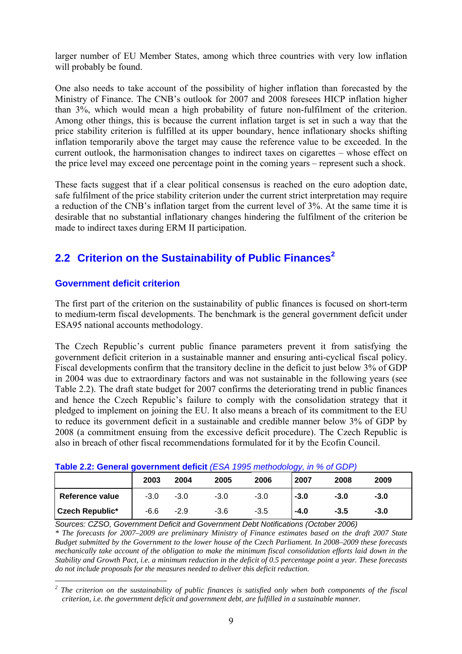<span id="page-8-0"></span>larger number of EU Member States, among which three countries with very low inflation will probably be found.

One also needs to take account of the possibility of higher inflation than forecasted by the Ministry of Finance. The CNB's outlook for 2007 and 2008 foresees HICP inflation higher than 3%, which would mean a high probability of future non-fulfilment of the criterion. Among other things, this is because the current inflation target is set in such a way that the price stability criterion is fulfilled at its upper boundary, hence inflationary shocks shifting inflation temporarily above the target may cause the reference value to be exceeded. In the current outlook, the harmonisation changes to indirect taxes on cigarettes – whose effect on the price level may exceed one percentage point in the coming years – represent such a shock.

These facts suggest that if a clear political consensus is reached on the euro adoption date, safe fulfilment of the price stability criterion under the current strict interpretation may require a reduction of the CNB's inflation target from the current level of 3%. At the same time it is desirable that no substantial inflationary changes hindering the fulfilment of the criterion be made to indirect taxes during ERM II participation.

# **2.2 Criterion on the Sustainability of Public Finances[2](#page-8-1)**

## **Government deficit criterion**

The first part of the criterion on the sustainability of public finances is focused on short-term to medium-term fiscal developments. The benchmark is the general government deficit under ESA95 national accounts methodology.

The Czech Republic's current public finance parameters prevent it from satisfying the government deficit criterion in a sustainable manner and ensuring anti-cyclical fiscal policy. Fiscal developments confirm that the transitory decline in the deficit to just below 3% of GDP in 2004 was due to extraordinary factors and was not sustainable in the following years (see Table 2.2). The draft state budget for 2007 confirms the deteriorating trend in public finances and hence the Czech Republic's failure to comply with the consolidation strategy that it pledged to implement on joining the EU. It also means a breach of its commitment to the EU to reduce its government deficit in a sustainable and credible manner below 3% of GDP by 2008 (a commitment ensuing from the excessive deficit procedure). The Czech Republic is also in breach of other fiscal recommendations formulated for it by the Ecofin Council.

| <b>Table 2.2: General government deficit</b> (ESA 1995 methodology, in % of GDP) |        |        |        |        |        |        |        |
|----------------------------------------------------------------------------------|--------|--------|--------|--------|--------|--------|--------|
|                                                                                  | 2003   | 2004   | 2005   | 2006   | 2007   | 2008   | 2009   |
| Reference value                                                                  | $-3.0$ | $-3.0$ | $-3.0$ | $-3.0$ | $-3.0$ | $-3.0$ | $-3.0$ |
| <b>Czech Republic*</b>                                                           | -6.6   | $-2.9$ | $-3.6$ | $-3.5$ | $-4.0$ | $-3.5$ | $-3.0$ |

**Table 2.2: General government deficit** *(ESA 1995 methodology, in % of GDP)* 

*Sources: CZSO, Government Deficit and Government Debt Notifications (October 2006) \* The forecasts for 2007–2009 are preliminary Ministry of Finance estimates based on the draft 2007 State Budget submitted by the Government to the lower house of the Czech Parliament. In 2008–2009 these forecasts mechanically take account of the obligation to make the minimum fiscal consolidation efforts laid down in the Stability and Growth Pact, i.e. a minimum reduction in the deficit of 0.5 percentage point a year. These forecasts do not include proposals for the measures needed to deliver this deficit reduction.*

<span id="page-8-1"></span> *2 The criterion on the sustainability of public finances is satisfied only when both components of the fiscal criterion, i.e. the government deficit and government debt, are fulfilled in a sustainable manner.*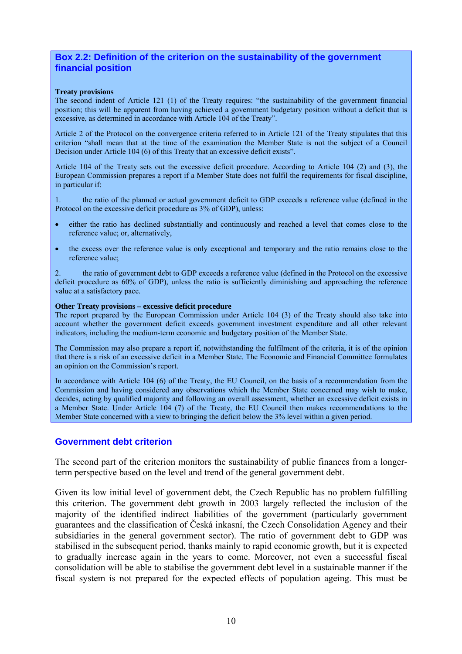## **Box 2.2: Definition of the criterion on the sustainability of the government financial position**

### **Treaty provisions**

The second indent of Article 121 (1) of the Treaty requires: "the sustainability of the government financial position; this will be apparent from having achieved a government budgetary position without a deficit that is excessive, as determined in accordance with Article 104 of the Treaty".

Article 2 of the Protocol on the convergence criteria referred to in Article 121 of the Treaty stipulates that this criterion "shall mean that at the time of the examination the Member State is not the subject of a Council Decision under Article 104 (6) of this Treaty that an excessive deficit exists".

Article 104 of the Treaty sets out the excessive deficit procedure. According to Article 104 (2) and (3), the European Commission prepares a report if a Member State does not fulfil the requirements for fiscal discipline, in particular if:

1. the ratio of the planned or actual government deficit to GDP exceeds a reference value (defined in the Protocol on the excessive deficit procedure as 3% of GDP), unless:

- either the ratio has declined substantially and continuously and reached a level that comes close to the reference value; or, alternatively,
- the excess over the reference value is only exceptional and temporary and the ratio remains close to the reference value;

2. the ratio of government debt to GDP exceeds a reference value (defined in the Protocol on the excessive deficit procedure as 60% of GDP), unless the ratio is sufficiently diminishing and approaching the reference value at a satisfactory pace.

### **Other Treaty provisions – excessive deficit procedure**

The report prepared by the European Commission under Article 104 (3) of the Treaty should also take into account whether the government deficit exceeds government investment expenditure and all other relevant indicators, including the medium-term economic and budgetary position of the Member State.

The Commission may also prepare a report if, notwithstanding the fulfilment of the criteria, it is of the opinion that there is a risk of an excessive deficit in a Member State. The Economic and Financial Committee formulates an opinion on the Commission's report.

In accordance with Article 104 (6) of the Treaty, the EU Council, on the basis of a recommendation from the Commission and having considered any observations which the Member State concerned may wish to make, decides, acting by qualified majority and following an overall assessment, whether an excessive deficit exists in a Member State. Under Article 104 (7) of the Treaty, the EU Council then makes recommendations to the Member State concerned with a view to bringing the deficit below the 3% level within a given period.

### **Government debt criterion**

The second part of the criterion monitors the sustainability of public finances from a longerterm perspective based on the level and trend of the general government debt.

Given its low initial level of government debt, the Czech Republic has no problem fulfilling this criterion. The government debt growth in 2003 largely reflected the inclusion of the majority of the identified indirect liabilities of the government (particularly government guarantees and the classification of Česká inkasní, the Czech Consolidation Agency and their subsidiaries in the general government sector). The ratio of government debt to GDP was stabilised in the subsequent period, thanks mainly to rapid economic growth, but it is expected to gradually increase again in the years to come. Moreover, not even a successful fiscal consolidation will be able to stabilise the government debt level in a sustainable manner if the fiscal system is not prepared for the expected effects of population ageing. This must be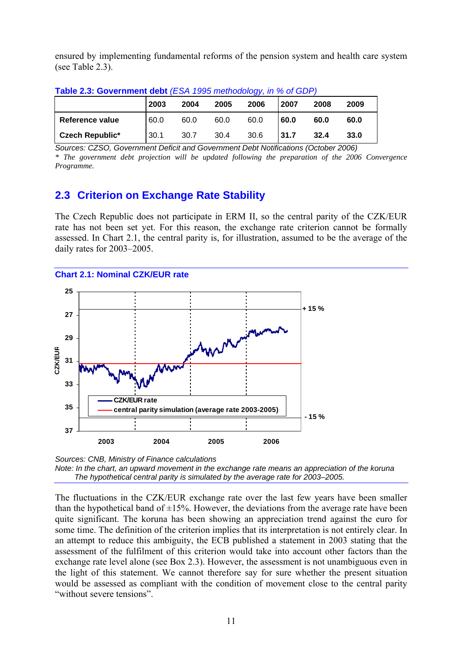<span id="page-10-0"></span>ensured by implementing fundamental reforms of the pension system and health care system (see Table 2.3).

|                        | 2003 | 2004 | 2005 | 2006 | 2007 | 2008 | 2009 |
|------------------------|------|------|------|------|------|------|------|
| Reference value        | 60.0 | 60.0 | 60.0 | 60.0 | 60.0 | 60.0 | 60.0 |
| <b>Czech Republic*</b> | 30.1 | 30.7 | 30.4 | 30.6 | 31.7 | 32.4 | 33.0 |

**Table 2.3: Government debt** *(ESA 1995 methodology, in % of GDP)* 

*Sources: CZSO, Government Deficit and Government Debt Notifications (October 2006) \* The government debt projection will be updated following the preparation of the 2006 Convergence Programme.* 

# **2.3 Criterion on Exchange Rate Stability**

The Czech Republic does not participate in ERM II, so the central parity of the CZK/EUR rate has not been set yet. For this reason, the exchange rate criterion cannot be formally assessed. In Chart 2.1, the central parity is, for illustration, assumed to be the average of the daily rates for 2003–2005.





*Sources: CNB, Ministry of Finance calculations Note: In the chart, an upward movement in the exchange rate means an appreciation of the koruna The hypothetical central parity is simulated by the average rate for 2003–2005.* 

The fluctuations in the CZK/EUR exchange rate over the last few years have been smaller than the hypothetical band of  $\pm 15\%$ . However, the deviations from the average rate have been quite significant. The koruna has been showing an appreciation trend against the euro for some time. The definition of the criterion implies that its interpretation is not entirely clear. In an attempt to reduce this ambiguity, the ECB published a statement in 2003 stating that the assessment of the fulfilment of this criterion would take into account other factors than the exchange rate level alone (see Box 2.3). However, the assessment is not unambiguous even in the light of this statement. We cannot therefore say for sure whether the present situation would be assessed as compliant with the condition of movement close to the central parity "without severe tensions".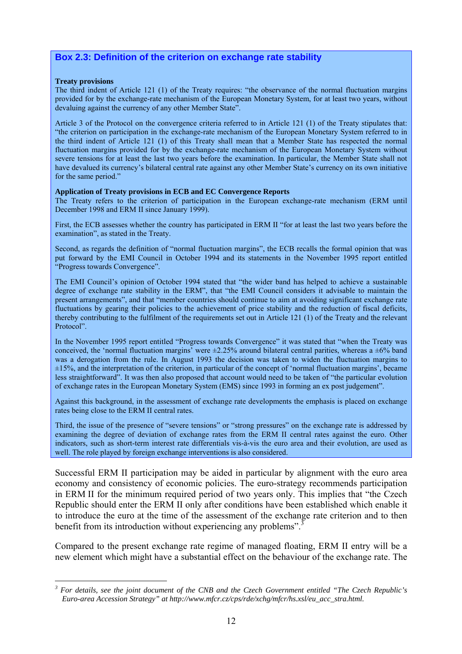## **Box 2.3: Definition of the criterion on exchange rate stability**

#### **Treaty provisions**

 $\overline{a}$ 

The third indent of Article 121 (1) of the Treaty requires: "the observance of the normal fluctuation margins provided for by the exchange-rate mechanism of the European Monetary System, for at least two years, without devaluing against the currency of any other Member State".

Article 3 of the Protocol on the convergence criteria referred to in Article 121 (1) of the Treaty stipulates that: "the criterion on participation in the exchange-rate mechanism of the European Monetary System referred to in the third indent of Article 121 (1) of this Treaty shall mean that a Member State has respected the normal fluctuation margins provided for by the exchange-rate mechanism of the European Monetary System without severe tensions for at least the last two years before the examination. In particular, the Member State shall not have devalued its currency's bilateral central rate against any other Member State's currency on its own initiative for the same period."

#### **Application of Treaty provisions in ECB and EC Convergence Reports**

The Treaty refers to the criterion of participation in the European exchange-rate mechanism (ERM until December 1998 and ERM II since January 1999).

First, the ECB assesses whether the country has participated in ERM II "for at least the last two years before the examination", as stated in the Treaty.

Second, as regards the definition of "normal fluctuation margins", the ECB recalls the formal opinion that was put forward by the EMI Council in October 1994 and its statements in the November 1995 report entitled "Progress towards Convergence".

The EMI Council's opinion of October 1994 stated that "the wider band has helped to achieve a sustainable degree of exchange rate stability in the ERM", that "the EMI Council considers it advisable to maintain the present arrangements", and that "member countries should continue to aim at avoiding significant exchange rate fluctuations by gearing their policies to the achievement of price stability and the reduction of fiscal deficits, thereby contributing to the fulfilment of the requirements set out in Article 121 (1) of the Treaty and the relevant Protocol".

In the November 1995 report entitled "Progress towards Convergence" it was stated that "when the Treaty was conceived, the 'normal fluctuation margins' were  $\pm 2.25\%$  around bilateral central parities, whereas a  $\pm 6\%$  band was a derogation from the rule. In August 1993 the decision was taken to widen the fluctuation margins to  $\pm 15\%$ , and the interpretation of the criterion, in particular of the concept of 'normal fluctuation margins', became less straightforward". It was then also proposed that account would need to be taken of "the particular evolution of exchange rates in the European Monetary System (EMS) since 1993 in forming an ex post judgement".

Against this background, in the assessment of exchange rate developments the emphasis is placed on exchange rates being close to the ERM II central rates.

Third, the issue of the presence of "severe tensions" or "strong pressures" on the exchange rate is addressed by examining the degree of deviation of exchange rates from the ERM II central rates against the euro. Other indicators, such as short-term interest rate differentials vis-à-vis the euro area and their evolution, are used as well. The role played by foreign exchange interventions is also considered.

Successful ERM II participation may be aided in particular by alignment with the euro area economy and consistency of economic policies. The euro-strategy recommends participation in ERM II for the minimum required period of two years only. This implies that "the Czech Republic should enter the ERM II only after conditions have been established which enable it to introduce the euro at the time of the assessment of the exchange rate criterion and to then benefit from its introduction without experiencing any problems"[.](#page-11-0)<sup>3</sup>

Compared to the present exchange rate regime of managed floating, ERM II entry will be a new element which might have a substantial effect on the behaviour of the exchange rate. The

<span id="page-11-0"></span>*<sup>3</sup> For details, see the joint document of the CNB and the Czech Government entitled "The Czech Republic's Euro-area Accession Strategy" at http://www.mfcr.cz/cps/rde/xchg/mfcr/hs.xsl/eu\_acc\_stra.html.*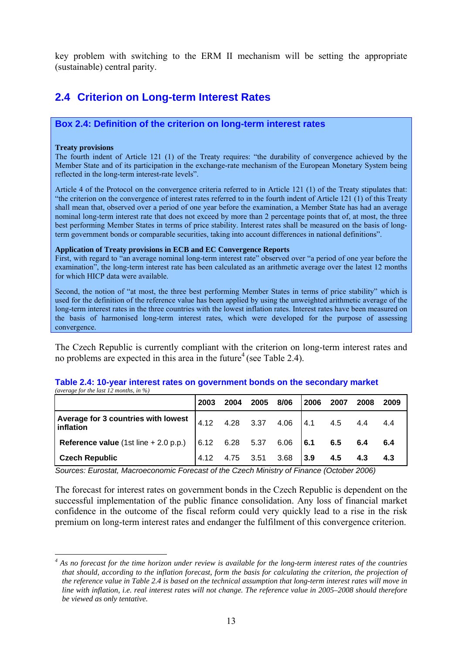<span id="page-12-0"></span>key problem with switching to the ERM II mechanism will be setting the appropriate (sustainable) central parity.

## **2.4 Criterion on Long-term Interest Rates**

### **Box 2.4: Definition of the criterion on long-term interest rates**

#### **Treaty provisions**

 $\overline{a}$ 

The fourth indent of Article 121 (1) of the Treaty requires: "the durability of convergence achieved by the Member State and of its participation in the exchange-rate mechanism of the European Monetary System being reflected in the long-term interest-rate levels".

Article 4 of the Protocol on the convergence criteria referred to in Article 121 (1) of the Treaty stipulates that: "the criterion on the convergence of interest rates referred to in the fourth indent of Article 121 (1) of this Treaty shall mean that, observed over a period of one year before the examination, a Member State has had an average nominal long-term interest rate that does not exceed by more than 2 percentage points that of, at most, the three best performing Member States in terms of price stability. Interest rates shall be measured on the basis of longterm government bonds or comparable securities, taking into account differences in national definitions".

#### **Application of Treaty provisions in ECB and EC Convergence Reports**

First, with regard to "an average nominal long-term interest rate" observed over "a period of one year before the examination", the long-term interest rate has been calculated as an arithmetic average over the latest 12 months for which HICP data were available.

Second, the notion of "at most, the three best performing Member States in terms of price stability" which is used for the definition of the reference value has been applied by using the unweighted arithmetic average of the long-term interest rates in the three countries with the lowest inflation rates. Interest rates have been measured on the basis of harmonised long-term interest rates, which were developed for the purpose of assessing convergence.

The Czech Republic is currently compliant with the criterion on long-term interest rates and no probl[e](#page-12-1)ms are expected in this area in the future<sup>4</sup> (see Table 2.4).

|                                                  | 2003 | 2004                | 2005 | 8/06 | 2006  | 2007    | 2008 | 2009 |
|--------------------------------------------------|------|---------------------|------|------|-------|---------|------|------|
| Average for 3 countries with lowest<br>inflation |      | 4.12 4.28 3.37 4.06 |      |      |       | 4.1 4.5 | 4.4  | 4.4  |
| Reference value $(1st line + 2.0 p.p.)$          |      | 6.12 6.28 5.37 6.06 |      |      | 6.1   | 6.5     | 6.4  | 6.4  |
| <b>Czech Republic</b>                            |      | 4.75 3.51           |      | 3.68 | l 3.9 | 4.5     | 4.3  | 4.3  |

#### **Table 2.4: 10-year interest rates on government bonds on the secondary market**  *(average for the last 12 months, in %)*

*Sources: Eurostat, Macroeconomic Forecast of the Czech Ministry of Finance (October 2006)* 

The forecast for interest rates on government bonds in the Czech Republic is dependent on the successful implementation of the public finance consolidation. Any loss of financial market confidence in the outcome of the fiscal reform could very quickly lead to a rise in the risk premium on long-term interest rates and endanger the fulfilment of this convergence criterion.

<span id="page-12-1"></span><sup>&</sup>lt;sup>4</sup> As no forecast for the time horizon under review is available for the long-term interest rates of the countries *that should, according to the inflation forecast, form the basis for calculating the criterion, the projection of the reference value in Table 2.4 is based on the technical assumption that long-term interest rates will move in line with inflation, i.e. real interest rates will not change. The reference value in 2005–2008 should therefore be viewed as only tentative.*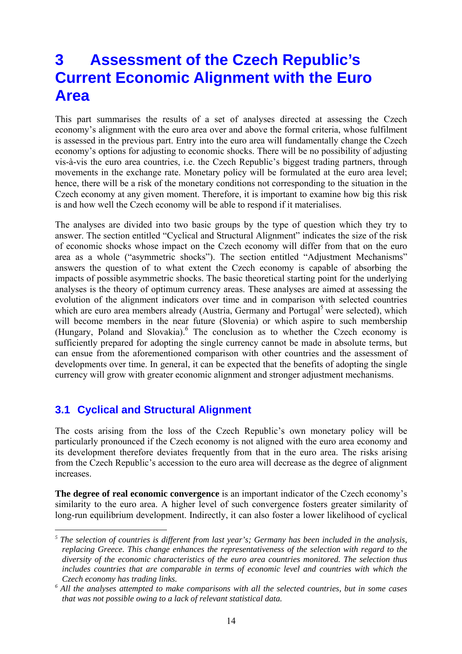# <span id="page-13-0"></span>**3 Assessment of the Czech Republic's Current Economic Alignment with the Euro Area**

This part summarises the results of a set of analyses directed at assessing the Czech economy's alignment with the euro area over and above the formal criteria, whose fulfilment is assessed in the previous part. Entry into the euro area will fundamentally change the Czech economy's options for adjusting to economic shocks. There will be no possibility of adjusting vis-à-vis the euro area countries, i.e. the Czech Republic's biggest trading partners, through movements in the exchange rate. Monetary policy will be formulated at the euro area level; hence, there will be a risk of the monetary conditions not corresponding to the situation in the Czech economy at any given moment. Therefore, it is important to examine how big this risk is and how well the Czech economy will be able to respond if it materialises.

The analyses are divided into two basic groups by the type of question which they try to answer. The section entitled "Cyclical and Structural Alignment" indicates the size of the risk of economic shocks whose impact on the Czech economy will differ from that on the euro area as a whole ("asymmetric shocks"). The section entitled "Adjustment Mechanisms" answers the question of to what extent the Czech economy is capable of absorbing the impacts of possible asymmetric shocks. The basic theoretical starting point for the underlying analyses is the theory of optimum currency areas. These analyses are aimed at assessing the evolution of the alignment indicators over time and in comparison with selected countries which are euro area members already (Austria, Germany and Portugal<sup>5</sup> were selected), which will becom[e](#page-13-1) members in the near future (Slovenia) or which aspire to such membership (Hungary, Poland and Slovakia). <sup>6</sup> The conclusion as to whether the Czech economy is sufficiently prepared for adopting [th](#page-13-2)e single currency cannot be made in absolute terms, but can ensue from the aforementioned comparison with other countries and the assessment of developments over time. In general, it can be expected that the benefits of adopting the single currency will grow with greater economic alignment and stronger adjustment mechanisms.

## **3.1 Cyclical and Structural Alignment**

 $\overline{a}$ 

The costs arising from the loss of the Czech Republic's own monetary policy will be particularly pronounced if the Czech economy is not aligned with the euro area economy and its development therefore deviates frequently from that in the euro area. The risks arising from the Czech Republic's accession to the euro area will decrease as the degree of alignment increases.

**The degree of real economic convergence** is an important indicator of the Czech economy's similarity to the euro area. A higher level of such convergence fosters greater similarity of long-run equilibrium development. Indirectly, it can also foster a lower likelihood of cyclical

<span id="page-13-1"></span>*<sup>5</sup> The selection of countries is different from last year's; Germany has been included in the analysis, replacing Greece. This change enhances the representativeness of the selection with regard to the diversity of the economic characteristics of the euro area countries monitored. The selection thus* includes countries that are comparable in terms of economic level and countries with which the

<span id="page-13-2"></span>*Czech economy has trading links. 6 All the analyses attempted to make comparisons with all the selected countries, but in some cases that was not possible owing to a lack of relevant statistical data.*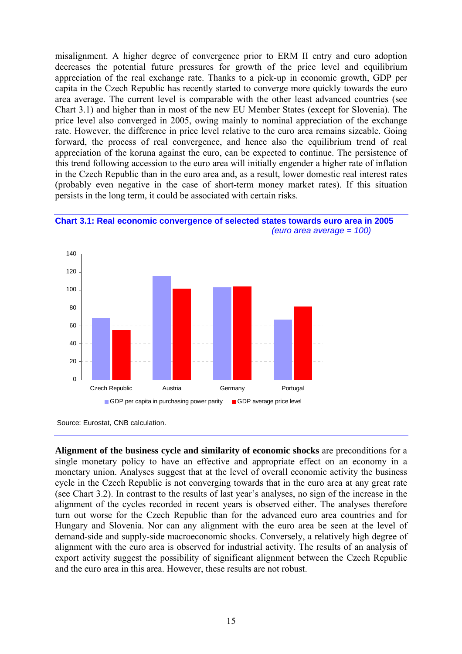<span id="page-14-0"></span>misalignment. A higher degree of convergence prior to ERM II entry and euro adoption decreases the potential future pressures for growth of the price level and equilibrium appreciation of the real exchange rate. Thanks to a pick-up in economic growth, GDP per capita in the Czech Republic has recently started to converge more quickly towards the euro area average. The current level is comparable with the other least advanced countries (see Chart 3.1) and higher than in most of the new EU Member States (except for Slovenia). The price level also converged in 2005, owing mainly to nominal appreciation of the exchange rate. However, the difference in price level relative to the euro area remains sizeable. Going forward, the process of real convergence, and hence also the equilibrium trend of real appreciation of the koruna against the euro, can be expected to continue. The persistence of this trend following accession to the euro area will initially engender a higher rate of inflation in the Czech Republic than in the euro area and, as a result, lower domestic real interest rates (probably even negative in the case of short-term money market rates). If this situation persists in the long term, it could be associated with certain risks.





**Alignment of the business cycle and similarity of economic shocks** are preconditions for a single monetary policy to have an effective and appropriate effect on an economy in a monetary union. Analyses suggest that at the level of overall economic activity the business cycle in the Czech Republic is not converging towards that in the euro area at any great rate (see Chart 3.2). In contrast to the results of last year's analyses, no sign of the increase in the alignment of the cycles recorded in recent years is observed either. The analyses therefore turn out worse for the Czech Republic than for the advanced euro area countries and for Hungary and Slovenia. Nor can any alignment with the euro area be seen at the level of demand-side and supply-side macroeconomic shocks. Conversely, a relatively high degree of alignment with the euro area is observed for industrial activity. The results of an analysis of export activity suggest the possibility of significant alignment between the Czech Republic and the euro area in this area. However, these results are not robust.

Source: Eurostat, CNB calculation.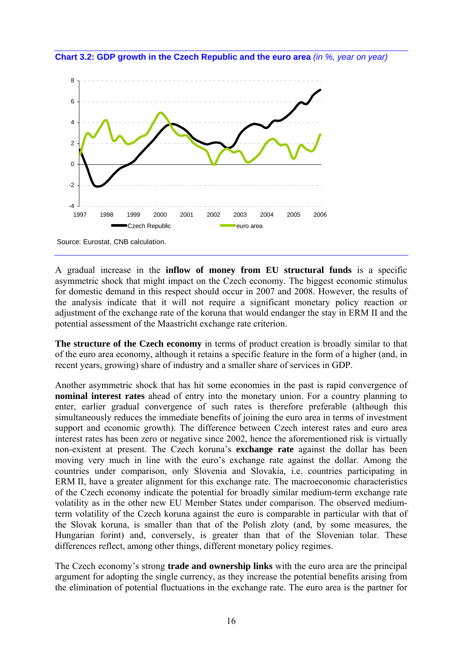<span id="page-15-0"></span>**Chart 3.2: GDP growth in the Czech Republic and the euro area** *(in %, year on year)* 



Source: Eurostat, CNB calculation.

A gradual increase in the **inflow of money from EU structural funds** is a specific asymmetric shock that might impact on the Czech economy. The biggest economic stimulus for domestic demand in this respect should occur in 2007 and 2008. However, the results of the analysis indicate that it will not require a significant monetary policy reaction or adjustment of the exchange rate of the koruna that would endanger the stay in ERM II and the potential assessment of the Maastricht exchange rate criterion.

**The structure of the Czech economy** in terms of product creation is broadly similar to that of the euro area economy, although it retains a specific feature in the form of a higher (and, in recent years, growing) share of industry and a smaller share of services in GDP.

Another asymmetric shock that has hit some economies in the past is rapid convergence of **nominal interest rates** ahead of entry into the monetary union. For a country planning to enter, earlier gradual convergence of such rates is therefore preferable (although this simultaneously reduces the immediate benefits of joining the euro area in terms of investment support and economic growth). The difference between Czech interest rates and euro area interest rates has been zero or negative since 2002, hence the aforementioned risk is virtually non-existent at present. The Czech koruna's **exchange rate** against the dollar has been moving very much in line with the euro's exchange rate against the dollar. Among the countries under comparison, only Slovenia and Slovakia, i.e. countries participating in ERM II, have a greater alignment for this exchange rate. The macroeconomic characteristics of the Czech economy indicate the potential for broadly similar medium-term exchange rate volatility as in the other new EU Member States under comparison. The observed mediumterm volatility of the Czech koruna against the euro is comparable in particular with that of the Slovak koruna, is smaller than that of the Polish zloty (and, by some measures, the Hungarian forint) and, conversely, is greater than that of the Slovenian tolar. These differences reflect, among other things, different monetary policy regimes.

The Czech economy's strong **trade and ownership links** with the euro area are the principal argument for adopting the single currency, as they increase the potential benefits arising from the elimination of potential fluctuations in the exchange rate. The euro area is the partner for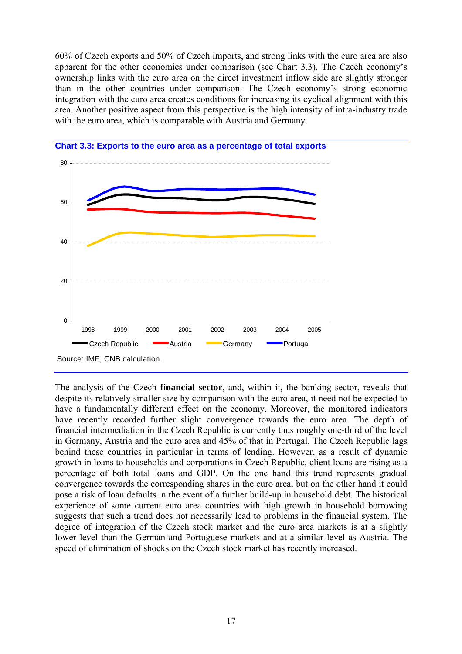<span id="page-16-0"></span>60% of Czech exports and 50% of Czech imports, and strong links with the euro area are also apparent for the other economies under comparison (see Chart 3.3). The Czech economy's ownership links with the euro area on the direct investment inflow side are slightly stronger than in the other countries under comparison. The Czech economy's strong economic integration with the euro area creates conditions for increasing its cyclical alignment with this area. Another positive aspect from this perspective is the high intensity of intra-industry trade with the euro area, which is comparable with Austria and Germany.





The analysis of the Czech **financial sector**, and, within it, the banking sector, reveals that despite its relatively smaller size by comparison with the euro area, it need not be expected to have a fundamentally different effect on the economy. Moreover, the monitored indicators have recently recorded further slight convergence towards the euro area. The depth of financial intermediation in the Czech Republic is currently thus roughly one-third of the level in Germany, Austria and the euro area and 45% of that in Portugal. The Czech Republic lags behind these countries in particular in terms of lending. However, as a result of dynamic growth in loans to households and corporations in Czech Republic, client loans are rising as a percentage of both total loans and GDP. On the one hand this trend represents gradual convergence towards the corresponding shares in the euro area, but on the other hand it could pose a risk of loan defaults in the event of a further build-up in household debt. The historical experience of some current euro area countries with high growth in household borrowing suggests that such a trend does not necessarily lead to problems in the financial system. The degree of integration of the Czech stock market and the euro area markets is at a slightly lower level than the German and Portuguese markets and at a similar level as Austria. The speed of elimination of shocks on the Czech stock market has recently increased.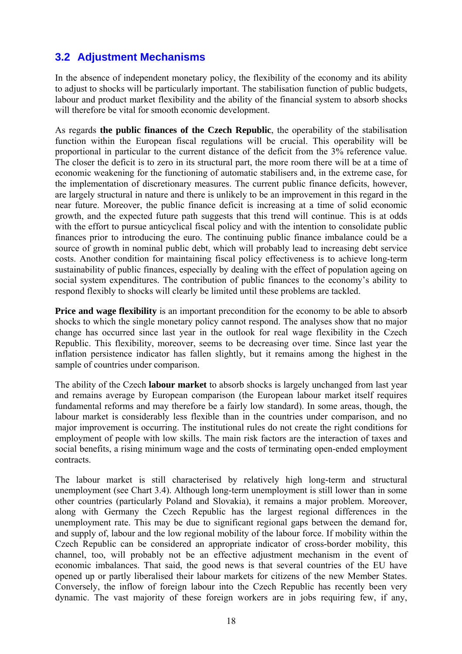## <span id="page-17-0"></span>**3.2 Adjustment Mechanisms**

In the absence of independent monetary policy, the flexibility of the economy and its ability to adjust to shocks will be particularly important. The stabilisation function of public budgets, labour and product market flexibility and the ability of the financial system to absorb shocks will therefore be vital for smooth economic development.

As regards **the public finances of the Czech Republic**, the operability of the stabilisation function within the European fiscal regulations will be crucial. This operability will be proportional in particular to the current distance of the deficit from the 3% reference value. The closer the deficit is to zero in its structural part, the more room there will be at a time of economic weakening for the functioning of automatic stabilisers and, in the extreme case, for the implementation of discretionary measures. The current public finance deficits, however, are largely structural in nature and there is unlikely to be an improvement in this regard in the near future. Moreover, the public finance deficit is increasing at a time of solid economic growth, and the expected future path suggests that this trend will continue. This is at odds with the effort to pursue anticyclical fiscal policy and with the intention to consolidate public finances prior to introducing the euro. The continuing public finance imbalance could be a source of growth in nominal public debt, which will probably lead to increasing debt service costs. Another condition for maintaining fiscal policy effectiveness is to achieve long-term sustainability of public finances, especially by dealing with the effect of population ageing on social system expenditures. The contribution of public finances to the economy's ability to respond flexibly to shocks will clearly be limited until these problems are tackled.

**Price and wage flexibility** is an important precondition for the economy to be able to absorb shocks to which the single monetary policy cannot respond. The analyses show that no major change has occurred since last year in the outlook for real wage flexibility in the Czech Republic. This flexibility, moreover, seems to be decreasing over time. Since last year the inflation persistence indicator has fallen slightly, but it remains among the highest in the sample of countries under comparison.

The ability of the Czech **labour market** to absorb shocks is largely unchanged from last year and remains average by European comparison (the European labour market itself requires fundamental reforms and may therefore be a fairly low standard). In some areas, though, the labour market is considerably less flexible than in the countries under comparison, and no major improvement is occurring. The institutional rules do not create the right conditions for employment of people with low skills. The main risk factors are the interaction of taxes and social benefits, a rising minimum wage and the costs of terminating open-ended employment contracts.

The labour market is still characterised by relatively high long-term and structural unemployment (see Chart 3.4). Although long-term unemployment is still lower than in some other countries (particularly Poland and Slovakia), it remains a major problem. Moreover, along with Germany the Czech Republic has the largest regional differences in the unemployment rate. This may be due to significant regional gaps between the demand for, and supply of, labour and the low regional mobility of the labour force. If mobility within the Czech Republic can be considered an appropriate indicator of cross-border mobility, this channel, too, will probably not be an effective adjustment mechanism in the event of economic imbalances. That said, the good news is that several countries of the EU have opened up or partly liberalised their labour markets for citizens of the new Member States. Conversely, the inflow of foreign labour into the Czech Republic has recently been very dynamic. The vast majority of these foreign workers are in jobs requiring few, if any,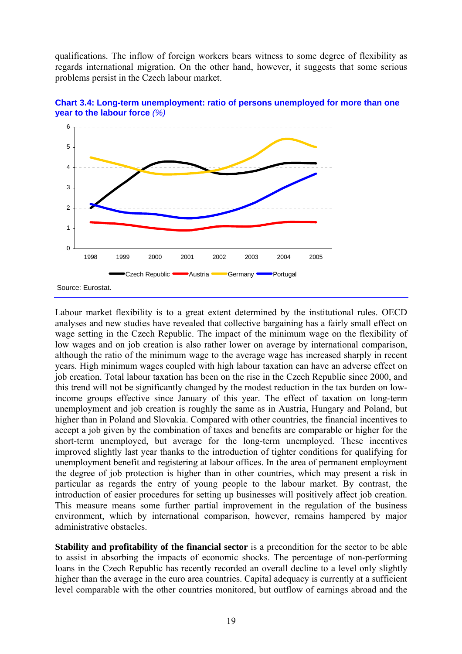<span id="page-18-0"></span>qualifications. The inflow of foreign workers bears witness to some degree of flexibility as regards international migration. On the other hand, however, it suggests that some serious problems persist in the Czech labour market.





Labour market flexibility is to a great extent determined by the institutional rules. OECD analyses and new studies have revealed that collective bargaining has a fairly small effect on wage setting in the Czech Republic. The impact of the minimum wage on the flexibility of low wages and on job creation is also rather lower on average by international comparison, although the ratio of the minimum wage to the average wage has increased sharply in recent years. High minimum wages coupled with high labour taxation can have an adverse effect on job creation. Total labour taxation has been on the rise in the Czech Republic since 2000, and this trend will not be significantly changed by the modest reduction in the tax burden on lowincome groups effective since January of this year. The effect of taxation on long-term unemployment and job creation is roughly the same as in Austria, Hungary and Poland, but higher than in Poland and Slovakia. Compared with other countries, the financial incentives to accept a job given by the combination of taxes and benefits are comparable or higher for the short-term unemployed, but average for the long-term unemployed. These incentives improved slightly last year thanks to the introduction of tighter conditions for qualifying for unemployment benefit and registering at labour offices. In the area of permanent employment the degree of job protection is higher than in other countries, which may present a risk in particular as regards the entry of young people to the labour market. By contrast, the introduction of easier procedures for setting up businesses will positively affect job creation. This measure means some further partial improvement in the regulation of the business environment, which by international comparison, however, remains hampered by major administrative obstacles.

**Stability and profitability of the financial sector** is a precondition for the sector to be able to assist in absorbing the impacts of economic shocks. The percentage of non-performing loans in the Czech Republic has recently recorded an overall decline to a level only slightly higher than the average in the euro area countries. Capital adequacy is currently at a sufficient level comparable with the other countries monitored, but outflow of earnings abroad and the